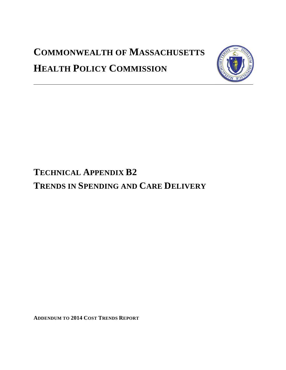# **COMMONWEALTH OF MASSACHUSETTS HEALTH POLICY COMMISSION**



# **TECHNICAL APPENDIX B2 TRENDS IN SPENDING AND CARE DELIVERY**

**ADDENDUM TO 2014 COST TRENDS REPORT**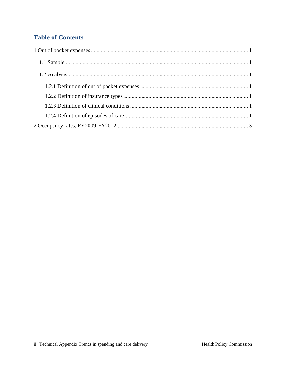## **Table of Contents**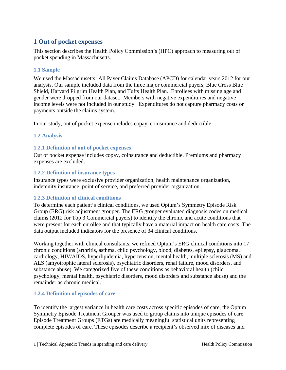## <span id="page-2-0"></span>**1 Out of pocket expenses**

This section describes the Health Policy Commission's (HPC) approach to measuring out of pocket spending in Massachusetts.

## <span id="page-2-1"></span>**1.1 Sample**

We used the Massachusetts' All Payer Claims Database (APCD) for calendar years 2012 for our analysis. Our sample included data from the three major commercial payers, Blue Cross Blue Shield, Harvard Pilgrim Health Plan, and Tufts Health Plan. Enrollees with missing age and gender were dropped from our dataset. Members with negative expenditures and negative income levels were not included in our study. Expenditures do not capture pharmacy costs or payments outside the claims system.

<span id="page-2-2"></span>In our study, out of pocket expense includes copay, coinsurance and deductible.

### **1.2 Analysis**

### <span id="page-2-3"></span>**1.2.1 Definition of out of pocket expenses**

Out of pocket expense includes copay, coinsurance and deductible. Premiums and pharmacy expenses are excluded.

### <span id="page-2-4"></span>**1.2.2 Definition of insurance types**

Insurance types were exclusive provider organization, health maintenance organization, indemnity insurance, point of service, and preferred provider organization.

### <span id="page-2-5"></span>**1.2.3 Definition of clinical conditions**

To determine each patient's clinical conditions, we used Optum's Symmetry Episode Risk Group (ERG) risk adjustment grouper. The ERG grouper evaluated diagnosis codes on medical claims (2012 for Top 3 Commercial payers) to identify the chronic and acute conditions that were present for each enrollee and that typically have a material impact on health care costs. The data output included indicators for the presence of 34 clinical conditions.

Working together with clinical consultants, we refined Optum's ERG clinical conditions into 17 chronic conditions (arthritis, asthma, child psychology, blood, diabetes, epilepsy, glaucoma, cardiology, HIV/AIDS, hyperlipidemia, hypertension, mental health, multiple sclerosis (MS) and ALS (amyotrophic lateral sclerosis), psychiatric disorders, renal failure, mood disorders, and substance abuse). We categorized five of these conditions as behavioral health (child psychology, mental health, psychiatric disorders, mood disorders and substance abuse) and the remainder as chronic medical.

### <span id="page-2-6"></span>**1.2.4 Definition of episodes of care**

To identify the largest variance in health care costs across specific episodes of care, the Optum Symmetry Episode Treatment Grouper was used to group claims into unique episodes of care. Episode Treatment Groups (ETGs) are medically meaningful statistical units representing complete episodes of care. These episodes describe a recipient's observed mix of diseases and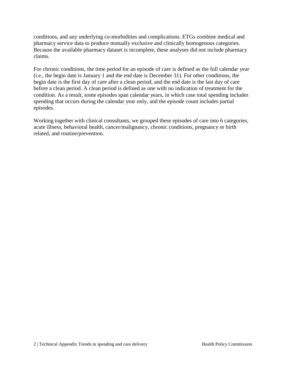conditions, and any underlying co-morbidities and complications. ETGs combine medical and pharmacy service data to produce mutually exclusive and clinically homogenous categories. Because the available pharmacy dataset is incomplete, these analyses did not include pharmacy claims.

For chronic conditions, the time period for an episode of care is defined as the full calendar year (i.e., the begin date is January 1 and the end date is December 31). For other conditions, the begin date is the first day of care after a clean period, and the end date is the last day of care before a clean period. A clean period is defined as one with no indication of treatment for the condition. As a result, some episodes span calendar years, in which case total spending includes spending that occurs during the calendar year only, and the episode count includes partial episodes.

Working together with clinical consultants, we grouped these episodes of care into 6 categories, acute illness, behavioral health, cancer/malignancy, chronic conditions, pregnancy or birth related, and routine/prevention.